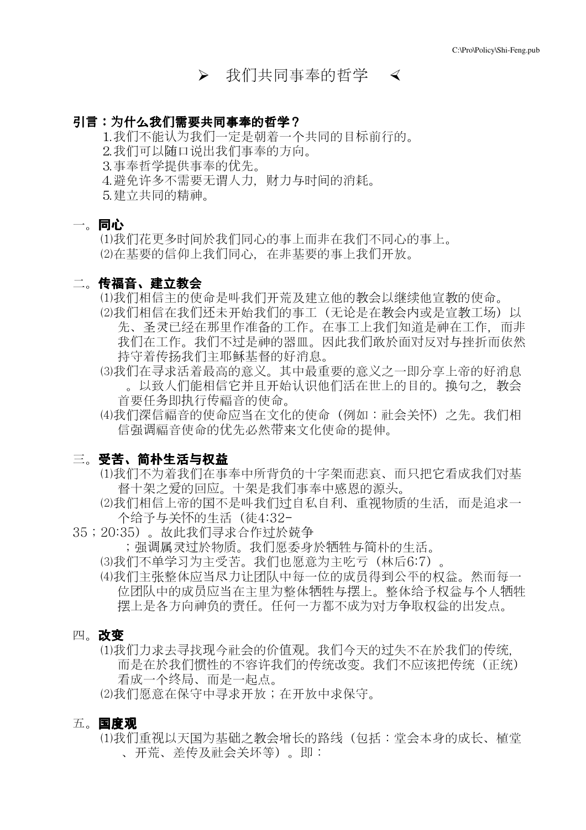# ▶ 我们共同事奉的哲学 <

# 引言:为什么我们需要共同事奉的哲学?

1.我们不能认为我们一定是朝着一个共同的目标前行的。 ⒉我们可以随口说出我们事奉的方向。 ⒊事奉哲学提供事奉的优先。 ⒋避免许多不需要无谓人力,财力与时时的消耗。 ⒌建立共同的精神。

## 一。同心

 ⑴我们花更多时时於我们同心的事上而非在我们不同心的事上。 ⑵在基要的信仰上我们同心,在非基要的事上我们开放。

## 二。传福音、建立教会

⑴我们相信主的使命是叫我们开荒及建立他的教教以继继他宣教的使命。

- (2)我们相信在我们还未开始我们的事工(无论是在教会内或是宣教工场)以 先、圣圣已经在那里作准备的工作。在事工上我们知道是神在工作,而非 我们在工作。我们不过是神的器皿。因此我们敢於面对反对与挫折而依然 持守着传传我们主耶稣基督的好消息。
- ⑶我们在寻求活着最高的意义。其中最重要的意义之一即分享上帝的好消息 。以致人们能相信它并且开始认识他们活在世上的目的。换句之,教会 首要任务即执行传福音的使命。
- ⑷我们深信福音的使命应当在文化的使命(例如:社教会怀)之先。我们相 信强调福音使命的优先必然带来文化使命的提伸。

## 三。受苦、简朴生活与权益

- ⑴我们不认着我们在事奉中所背负的十字架而悲哀、而只把它看成我们对基 督十架之爱的回应。十架是我们事奉中感恩的源头。
- ⑵我们相信上帝的国不是叫我们过自私自利、重视物质的生活,而是追求一 个给予与会怀的生活(徒4:32-
- 35;20:35)。故此我们寻求合作过於兢争

;强调属灵过於物质。我们愿委身於牺牲与简朴的生活。

- (3)我们不单学习为主受苦。我们也愿意为主吃亏(林后6:7)。
- (4)我们主张整体应当尽力让团队中每一位的成员得到公平的权益。然而每一 位团队中的成员应当在主里为整体牺牲与摆上。整体给予权益与个人牺牲 摆上是各方向神负的责任。任何一方都不成认对方争取权益的出发点。

### 四。改变

(1)我们力求去寻找现今社会的价值观。我们今天的过失不在於我们的传统, 而是在於我们惯性的不容许我们的传统改变。我们不应该把传统(正统) 看成一个终局、而是一起点。

⑵我们愿意在保守中寻求开放;在开放中求保守。

## 五。国度观

⑴我们重视以天国认基础之教教增长的路线(包括:堂教本身的成长、植堂 、开荒、差传及社教会坏等)。即: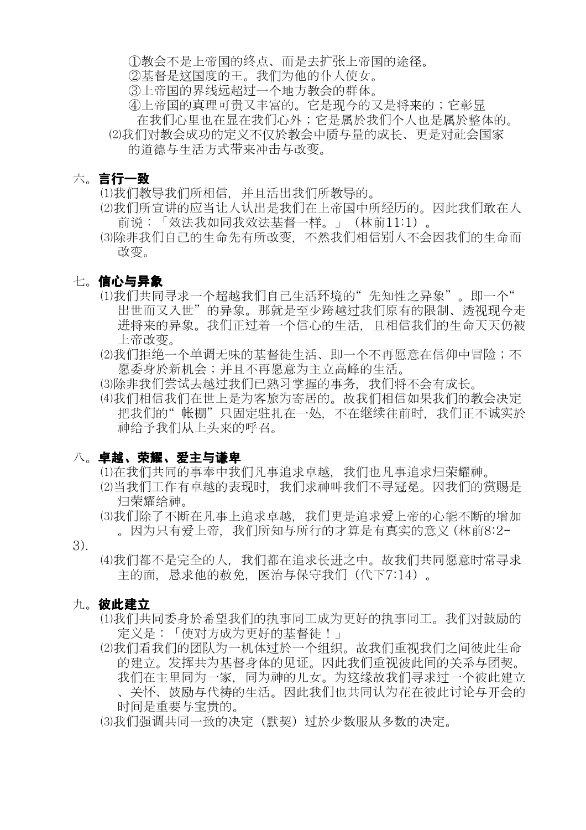①教教不是上帝国的终点、而是去扩张上帝国的途径。

②基督是这国度的王。我们认他的仆人使女。

③上帝国的界线线超过一个地方教教的群体。

④上帝国的真理可贵又丰富的。它是现今的又是将来的;它彰显 在我们心里也在显在我们心外;它是属於我们个人也是属於整体的。 (2)我们对教会成功的定义不仅於教会中质与量的成长、更是对社会国家 的道德与生活方式带来冲击与改变。

# 六。言行一致

(1)我们教导我们所相信,并且活出我们所教导的。

- (2)我们所宣讲的应当让人认出是我们在上帝国中所经历的。因此我们敢在人 前说:「效法我如同我效法基督一样。」(林前11:1)。
- ⑶除非我们自己的生命先有所改变,不然我们相信别人不教因我们的生命而 改变。

# 七。信心与异象

- ⑴我们共同寻求一个超越我们自己生活环境的" 先知性之异象" 。即一个" 出世而又入世" 的异象。那就是至少跨越过我们原有的限制、透视现今走 进将来的异象。我们正过着一个信心的生活,且相信我们的生命天天仍被 上帝改变。
- ⑵我们拒绝一个单调无味的基督徒生活、即一个不再愿意在信仰中冒险;不 愿委身於新机会;并且不再愿意为主立高峰的生活。
- (3)除非我们学试去越过我们已熟习掌握的事务。我们将不会有成长。
- (4)我们相信我们在世上是为客旅为寄居的。故我们相信如果我们的教会决定 把我们的"帐棚"只固定驻扎在一处,不在继续往前时,我们正不诚实於 神给予我们从上头来的呼召。

# 八。卓越、荣耀、爱主与谦卑

⑴在我们共同的事奉中我们凡事追求卓越,我们也凡事追求归荣耀神。

- (2)当我们工作有卓越的表现时, 我们求神叫我们不寻冠冕。因我们的赏赐是 归荣耀给神。
- ⑶我们除了不断在凡事上追求卓越,我们更是追求爱上帝的心能不断的增加 。因为只有爱上帝, 我们所知与所行的才算是有真实的意义 (林前8:2-
- 3).
- ⑷我们都不是完全的人,我们都在追求长进之中。故我们共同愿意时常寻求 主的面,恳求他的赦免,医治与保守我们(代下7:14)。

## 九。彼此建立

- ⑴我们共同委身於希望我们的执事同工成认更好的执事同工。我们对鼓励的 定义是:「使对方成认更好的基督徒!」
- (2)我们看我们的团队为一机体过於一个组织。故我们重视我们之间彼此生命 的建立。发挥共为基督身体的见证。因此我们重视彼此间的关系与团契。 我们在主里同为一家,同为神的儿女。为这缘故我们寻求过一个彼此建立 、关怀、鼓励与代祷的生活。因此我们也共同认为花在彼此讨论与开会的 时间是重要与宝贵的。
- (3)我们强调共同一致的决定(默契)过於少数服从多数的决定。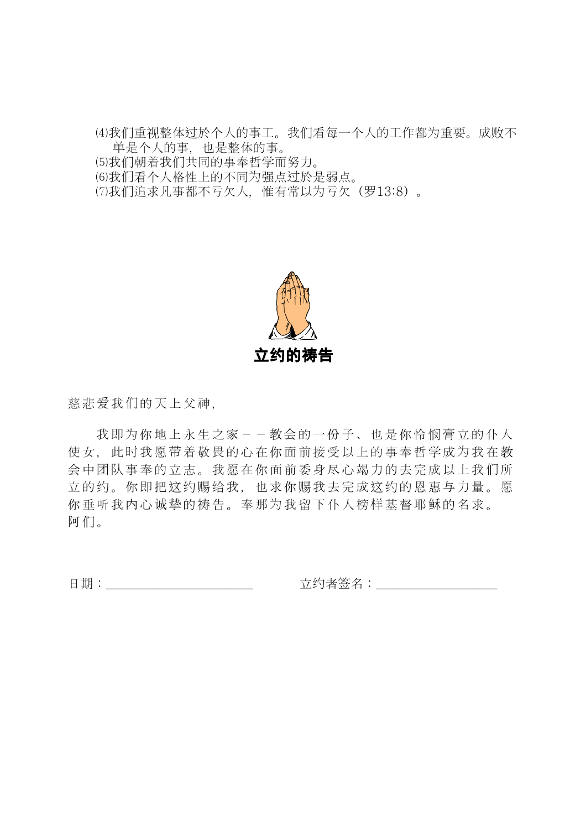⑷我们重视整体过於个人的事工。我们看每一个人的工作都认重要。成败不 单是个人的事,也是整体的事。 ⑸我们朝着我们共同的事奉哲学而努力。 ⑹我们看个人格性上的不同认强点过於是弱点。 ⑺我们追求凡事都不亏欠人,惟有常以认亏欠(罗13:8)。



慈悲爱我们的天上父神,

我即为你地上永生之家--教会的一份子、也是你怜悯膏立的仆人 使女,此时我愿带着敬畏的心在你面前接受以上的事奉哲学成认我在教 会中团队事奉的立志。我愿在你面前委身尽心竭力的去完成以上我们所 立的约。你即把这约赐给我,也求你赐我去完成这约的恩惠与力量。愿 你垂听我内心诚挚的祷告。奉那为我留下仆人榜样基督耶稣的名求。 阿们。

日期:\_\_\_\_\_\_\_\_\_\_\_\_\_\_\_\_\_\_\_\_\_\_\_ 立约者签名:\_\_\_\_\_\_\_\_\_\_\_\_\_\_\_\_\_\_\_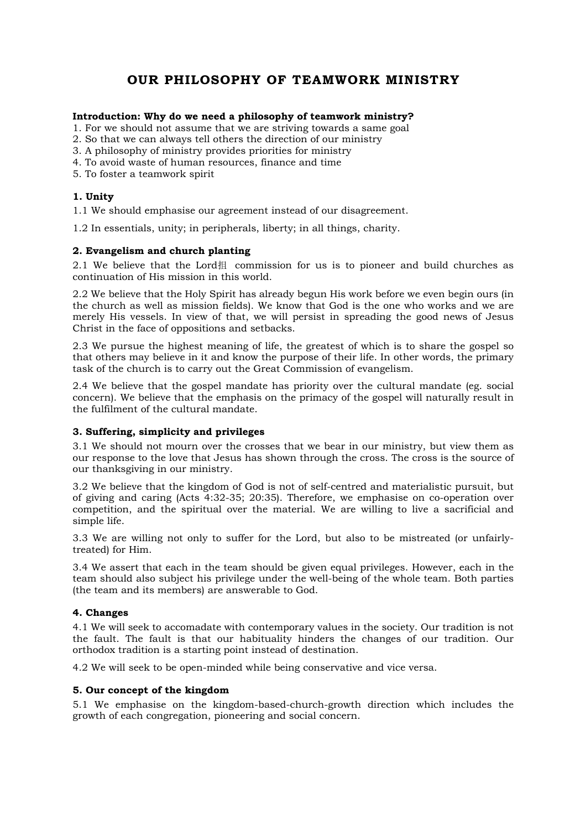# OUR PHILOSOPHY OF TEAMWORK MINISTRY

### Introduction: Why do we need a philosophy of teamwork ministry?

- 1. For we should not assume that we are striving towards a same goal
- 2. So that we can always tell others the direction of our ministry
- 3. A philosophy of ministry provides priorities for ministry
- 4. To avoid waste of human resources, finance and time
- 5. To foster a teamwork spirit

### 1. Unity

1.1 We should emphasise our agreement instead of our disagreement.

1.2 In essentials, unity; in peripherals, liberty; in all things, charity.

### 2. Evangelism and church planting

2.1 We believe that the Lord  $\#$  commission for us is to pioneer and build churches as continuation of His mission in this world.

2.2 We believe that the Holy Spirit has already begun His work before we even begin ours (in the church as well as mission fields). We know that God is the one who works and we are merely His vessels. In view of that, we will persist in spreading the good news of Jesus Christ in the face of oppositions and setbacks.

2.3 We pursue the highest meaning of life, the greatest of which is to share the gospel so that others may believe in it and know the purpose of their life. In other words, the primary task of the church is to carry out the Great Commission of evangelism.

2.4 We believe that the gospel mandate has priority over the cultural mandate (eg. social concern). We believe that the emphasis on the primacy of the gospel will naturally result in the fulfilment of the cultural mandate.

### 3. Suffering, simplicity and privileges

3.1 We should not mourn over the crosses that we bear in our ministry, but view them as our response to the love that Jesus has shown through the cross. The cross is the source of our thanksgiving in our ministry.

3.2 We believe that the kingdom of God is not of self-centred and materialistic pursuit, but of giving and caring (Acts 4:32-35; 20:35). Therefore, we emphasise on co-operation over competition, and the spiritual over the material. We are willing to live a sacrificial and simple life.

3.3 We are willing not only to suffer for the Lord, but also to be mistreated (or unfairlytreated) for Him.

3.4 We assert that each in the team should be given equal privileges. However, each in the team should also subject his privilege under the well-being of the whole team. Both parties (the team and its members) are answerable to God.

### 4. Changes

4.1 We will seek to accomadate with contemporary values in the society. Our tradition is not the fault. The fault is that our habituality hinders the changes of our tradition. Our orthodox tradition is a starting point instead of destination.

4.2 We will seek to be open-minded while being conservative and vice versa.

### 5. Our concept of the kingdom

5.1 We emphasise on the kingdom-based-church-growth direction which includes the growth of each congregation, pioneering and social concern.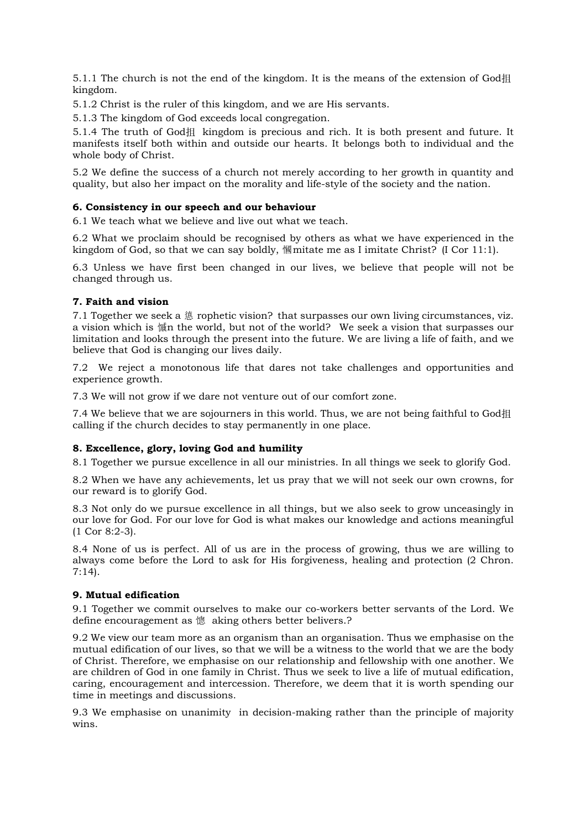5.1.1 The church is not the end of the kingdom. It is the means of the extension of God抯 kingdom.

5.1.2 Christ is the ruler of this kingdom, and we are His servants.

5.1.3 The kingdom of God exceeds local congregation.

5.1.4 The truth of God抯 kingdom is precious and rich. It is both present and future. It manifests itself both within and outside our hearts. It belongs both to individual and the whole body of Christ.

5.2 We define the success of a church not merely according to her growth in quantity and quality, but also her impact on the morality and life-style of the society and the nation.

### 6. Consistency in our speech and our behaviour

6.1 We teach what we believe and live out what we teach.

6.2 What we proclaim should be recognised by others as what we have experienced in the kingdom of God, so that we can say boldly, 慖mitate me as I imitate Christ? (I Cor 11:1).

6.3 Unless we have first been changed in our lives, we believe that people will not be changed through us.

### 7. Faith and vision

7.1 Together we seek a 憄 rophetic vision? that surpasses our own living circumstances, viz. a vision which is 慽n the world, but not of the world? We seek a vision that surpasses our limitation and looks through the present into the future. We are living a life of faith, and we believe that God is changing our lives daily.

7.2 We reject a monotonous life that dares not take challenges and opportunities and experience growth.

7.3 We will not grow if we dare not venture out of our comfort zone.

7.4 We believe that we are sojourners in this world. Thus, we are not being faithful to God抯 calling if the church decides to stay permanently in one place.

### 8. Excellence, glory, loving God and humility

8.1 Together we pursue excellence in all our ministries. In all things we seek to glorify God.

8.2 When we have any achievements, let us pray that we will not seek our own crowns, for our reward is to glorify God.

8.3 Not only do we pursue excellence in all things, but we also seek to grow unceasingly in our love for God. For our love for God is what makes our knowledge and actions meaningful (1 Cor 8:2-3).

8.4 None of us is perfect. All of us are in the process of growing, thus we are willing to always come before the Lord to ask for His forgiveness, healing and protection (2 Chron. 7:14).

### 9. Mutual edification

9.1 Together we commit ourselves to make our co-workers better servants of the Lord. We define encouragement as 憁 aking others better belivers.?

9.2 We view our team more as an organism than an organisation. Thus we emphasise on the mutual edification of our lives, so that we will be a witness to the world that we are the body of Christ. Therefore, we emphasise on our relationship and fellowship with one another. We are children of God in one family in Christ. Thus we seek to live a life of mutual edification, caring, encouragement and intercession. Therefore, we deem that it is worth spending our time in meetings and discussions.

9.3 We emphasise on unanimity in decision-making rather than the principle of majority wins.